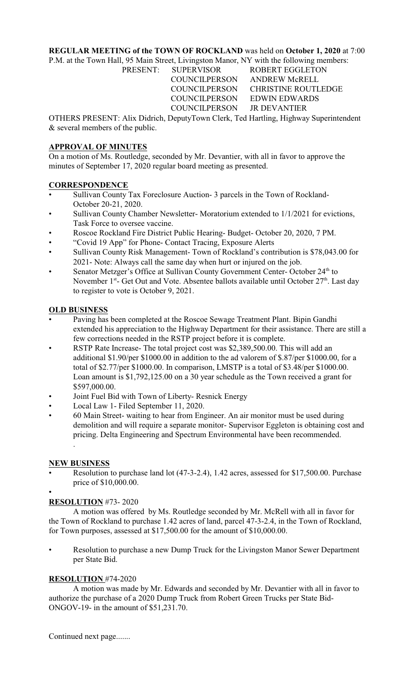### **REGULAR MEETING of the TOWN OF ROCKLAND** was held on **October 1, 2020** at 7:00

P.M. at the Town Hall, 95 Main Street, Livingston Manor, NY with the following members:

PRESENT: SUPERVISOR ROBERT EGGLETON COUNCILPERSON ANDREW McRELL COUNCILPERSON CHRISTINE ROUTLEDGE COUNCILPERSON EDWIN EDWARDS COUNCILPERSON JR DEVANTIER

OTHERS PRESENT: Alix Didrich, DeputyTown Clerk, Ted Hartling, Highway Superintendent & several members of the public.

## **APPROVAL OF MINUTES**

On a motion of Ms. Routledge, seconded by Mr. Devantier, with all in favor to approve the minutes of September 17, 2020 regular board meeting as presented.

## **CORRESPONDENCE**

- Sullivan County Tax Foreclosure Auction- 3 parcels in the Town of Rockland-October 20-21, 2020.
- Sullivan County Chamber Newsletter-Moratorium extended to  $1/1/2021$  for evictions, Task Force to oversee vaccine.
- Roscoe Rockland Fire District Public Hearing- Budget- October 20, 2020, 7 PM.
- "Covid 19 App" for Phone- Contact Tracing, Exposure Alerts
- Sullivan County Risk Management- Town of Rockland's contribution is \$78,043.00 for 2021- Note: Always call the same day when hurt or injured on the job.
- Senator Metzger's Office at Sullivan County Government Center-October 24<sup>th</sup> to November  $1^{st}$ - Get Out and Vote. Absentee ballots available until October  $27^{th}$ . Last day to register to vote is October 9, 2021.

## **OLD BUSINESS**

- Paving has been completed at the Roscoe Sewage Treatment Plant. Bipin Gandhi extended his appreciation to the Highway Department for their assistance. There are still a few corrections needed in the RSTP project before it is complete.
- RSTP Rate Increase- The total project cost was \$2,389,500.00. This will add an additional \$1.90/per \$1000.00 in addition to the ad valorem of \$.87/per \$1000.00, for a total of \$2.77/per \$1000.00. In comparison, LMSTP is a total of \$3.48/per \$1000.00. Loan amount is \$1,792,125.00 on a 30 year schedule as the Town received a grant for \$597,000.00.
- Joint Fuel Bid with Town of Liberty- Resnick Energy
- Local Law 1- Filed September 11, 2020.
- 60 Main Street- waiting to hear from Engineer. An air monitor must be used during demolition and will require a separate monitor- Supervisor Eggleton is obtaining cost and pricing. Delta Engineering and Spectrum Environmental have been recommended. .

### **NEW BUSINESS**

• Resolution to purchase land lot (47-3-2.4), 1.42 acres, assessed for \$17,500.00. Purchase price of \$10,000.00.

#### • **RESOLUTION** #73- 2020

A motion was offered by Ms. Routledge seconded by Mr. McRell with all in favor for the Town of Rockland to purchase 1.42 acres of land, parcel 47-3-2.4, in the Town of Rockland, for Town purposes, assessed at \$17,500.00 for the amount of \$10,000.00.

• Resolution to purchase a new Dump Truck for the Livingston Manor Sewer Department per State Bid.

# **RESOLUTION** #74-2020

A motion was made by Mr. Edwards and seconded by Mr. Devantier with all in favor to authorize the purchase of a 2020 Dump Truck from Robert Green Trucks per State Bid-ONGOV-19- in the amount of \$51,231.70.